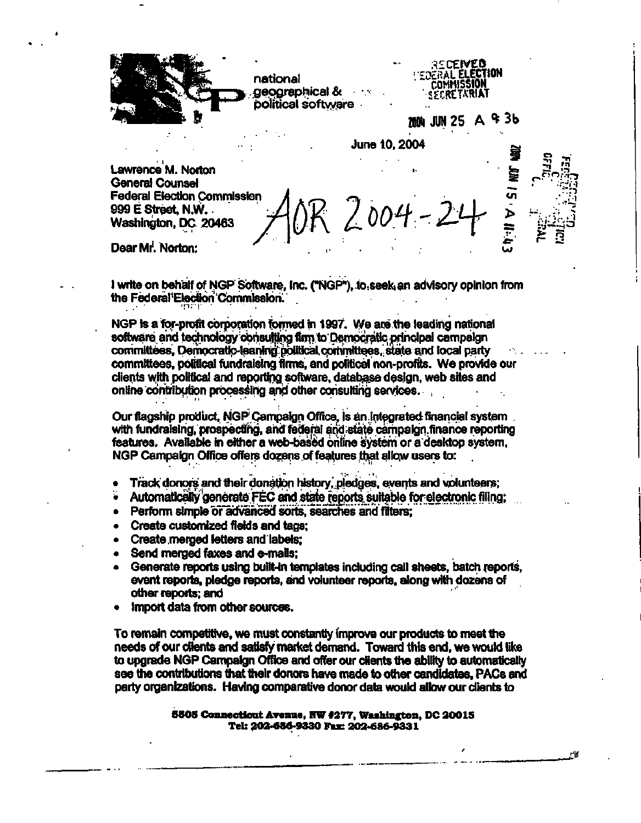**national geographical & political software Lawrence M. Norton General Counsel Federal Election Commission 999 E Street, N.W. Washington, DC 20463**  June 10, 2004 *ooH-* **;^CErVED •OcRAL ELECTION COMMISSION SfXRET.WAT JUN 25 A ^ 3b en >** 

Dear Mr. Norton:

**I write on behalf of NGP Software. Inc. ("NGP"), to seek an advisory opinion from the Federal Election Commission.** 

**NGP is a for-profit corporation formed in 1997. We are the leading national software and technology consulting firm to Democratic, principal campaign committees, Democratic-leaning political committees, state and local party**  committees, political fundraising firms, and political non-profits. We provide our **clients with political and reporting software, database design, web sites and online contribution processing and other consulting services.** 

Our flagship product, NGP Campaign Office, is an integrated financial system . with fundraising, prospecting, and federal and state campaign finance reporting **features. Available in either a web-based online system or a desktop system, NGP Campaign Office offers dozens of features that allow users to:** 

- **Track donors and their donation history, pledges, events and volunteers;**
- Automatically generate FEC and state reports suitable for electronic filing;
- **Perform simple or advanced sorts, searches and filters;**
- **Create customized fields and tags;**
- **Create merged letters and labels;**
- **Send merged faxes and e-mails;**
- **Generate reports using built-in templates including call sheets, batch reports,**   $\bullet$ **event reports, pledge reports, and volunteer reports, along with dozens of other reports; and**
- **Import data from other sources.**

**To remain competitive, we must constantly improve our products to meet the needs of our clients and satisfy market demand. Toward this end, we would like to upgrade NGP Campaign Office and offer our clients the ability to automatically see the contributions that their donors have made to other candidates, PACs and party organizations. Having comparative donor data would allow our clients to** 

> **6505 Connecticut Avenue, NW #277, Washington, DC 20015 Tel: 202-686-9330 Fax: 202-686-9331**